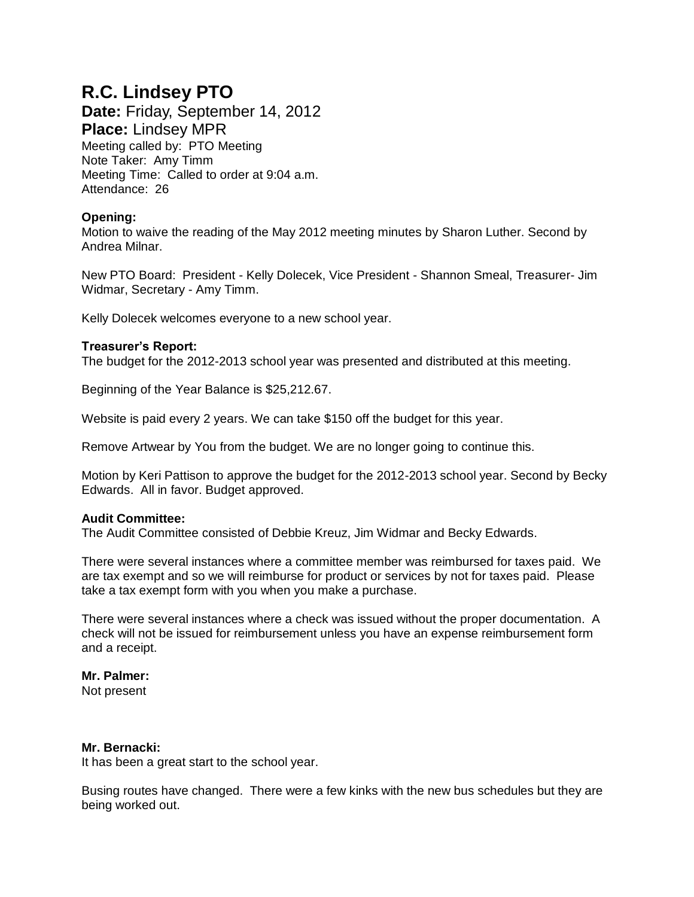# **R.C. Lindsey PTO**

**Date:** Friday, September 14, 2012 **Place:** Lindsey MPR Meeting called by: PTO Meeting Note Taker: Amy Timm Meeting Time: Called to order at 9:04 a.m. Attendance: 26

# **Opening:**

Motion to waive the reading of the May 2012 meeting minutes by Sharon Luther. Second by Andrea Milnar.

New PTO Board: President - Kelly Dolecek, Vice President - Shannon Smeal, Treasurer- Jim Widmar, Secretary - Amy Timm.

Kelly Dolecek welcomes everyone to a new school year.

## **Treasurer's Report:**

The budget for the 2012-2013 school year was presented and distributed at this meeting.

Beginning of the Year Balance is \$25,212.67.

Website is paid every 2 years. We can take \$150 off the budget for this year.

Remove Artwear by You from the budget. We are no longer going to continue this.

Motion by Keri Pattison to approve the budget for the 2012-2013 school year. Second by Becky Edwards. All in favor. Budget approved.

## **Audit Committee:**

The Audit Committee consisted of Debbie Kreuz, Jim Widmar and Becky Edwards.

There were several instances where a committee member was reimbursed for taxes paid. We are tax exempt and so we will reimburse for product or services by not for taxes paid. Please take a tax exempt form with you when you make a purchase.

There were several instances where a check was issued without the proper documentation. A check will not be issued for reimbursement unless you have an expense reimbursement form and a receipt.

# **Mr. Palmer:**

Not present

#### **Mr. Bernacki:**

It has been a great start to the school year.

Busing routes have changed. There were a few kinks with the new bus schedules but they are being worked out.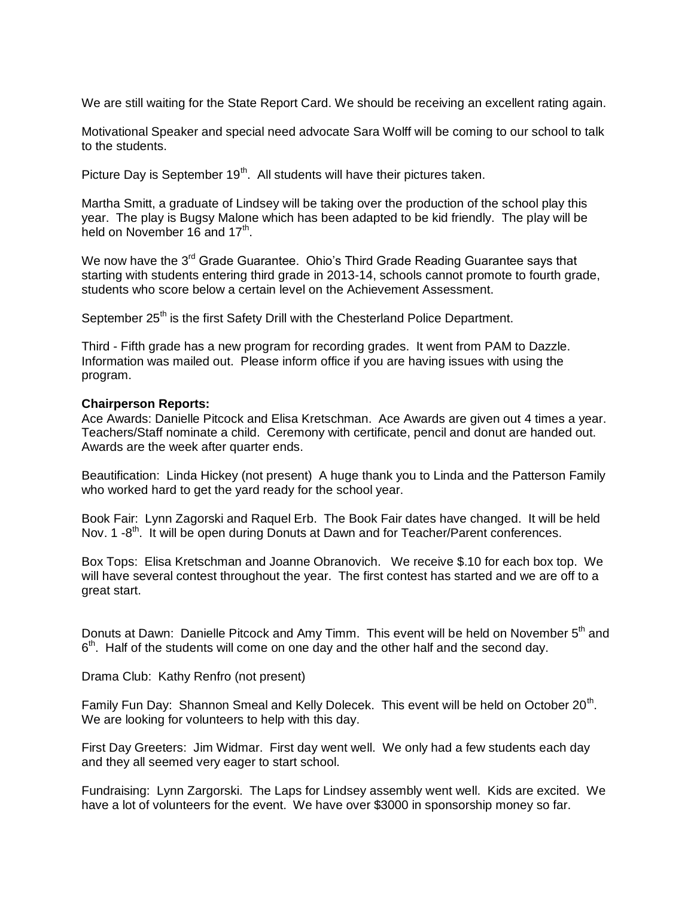We are still waiting for the State Report Card. We should be receiving an excellent rating again.

Motivational Speaker and special need advocate Sara Wolff will be coming to our school to talk to the students.

Picture Day is September  $19<sup>th</sup>$ . All students will have their pictures taken.

Martha Smitt, a graduate of Lindsey will be taking over the production of the school play this year. The play is Bugsy Malone which has been adapted to be kid friendly. The play will be held on November 16 and 17<sup>th</sup>.

We now have the 3<sup>rd</sup> Grade Guarantee. Ohio's Third Grade Reading Guarantee says that starting with students entering third grade in 2013-14, schools cannot promote to fourth grade, students who score below a certain level on the Achievement Assessment.

September 25<sup>th</sup> is the first Safety Drill with the Chesterland Police Department.

Third - Fifth grade has a new program for recording grades. It went from PAM to Dazzle. Information was mailed out. Please inform office if you are having issues with using the program.

#### **Chairperson Reports:**

Ace Awards: Danielle Pitcock and Elisa Kretschman. Ace Awards are given out 4 times a year. Teachers/Staff nominate a child. Ceremony with certificate, pencil and donut are handed out. Awards are the week after quarter ends.

Beautification: Linda Hickey (not present) A huge thank you to Linda and the Patterson Family who worked hard to get the yard ready for the school year.

Book Fair: Lynn Zagorski and Raquel Erb. The Book Fair dates have changed. It will be held Nov. 1 -8<sup>th</sup>. It will be open during Donuts at Dawn and for Teacher/Parent conferences.

Box Tops: Elisa Kretschman and Joanne Obranovich. We receive \$.10 for each box top. We will have several contest throughout the year. The first contest has started and we are off to a great start.

Donuts at Dawn: Danielle Pitcock and Amy Timm. This event will be held on November 5<sup>th</sup> and 6<sup>th</sup>. Half of the students will come on one day and the other half and the second day.

Drama Club: Kathy Renfro (not present)

Family Fun Day: Shannon Smeal and Kelly Dolecek. This event will be held on October 20<sup>th</sup>. We are looking for volunteers to help with this day.

First Day Greeters: Jim Widmar. First day went well. We only had a few students each day and they all seemed very eager to start school.

Fundraising: Lynn Zargorski. The Laps for Lindsey assembly went well. Kids are excited. We have a lot of volunteers for the event. We have over \$3000 in sponsorship money so far.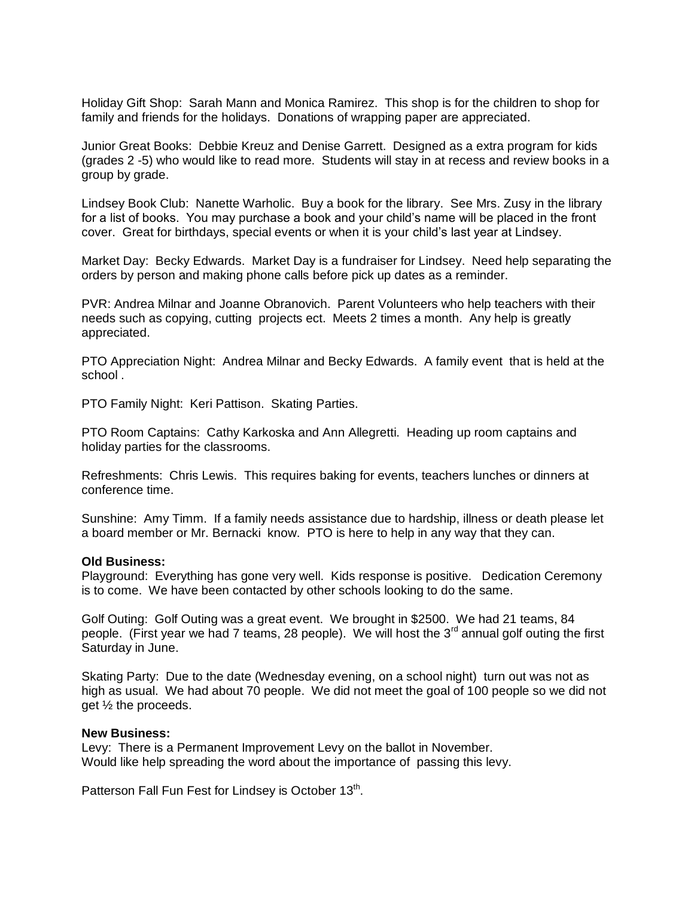Holiday Gift Shop: Sarah Mann and Monica Ramirez. This shop is for the children to shop for family and friends for the holidays. Donations of wrapping paper are appreciated.

Junior Great Books: Debbie Kreuz and Denise Garrett. Designed as a extra program for kids (grades 2 -5) who would like to read more. Students will stay in at recess and review books in a group by grade.

Lindsey Book Club: Nanette Warholic. Buy a book for the library. See Mrs. Zusy in the library for a list of books. You may purchase a book and your child's name will be placed in the front cover. Great for birthdays, special events or when it is your child's last year at Lindsey.

Market Day: Becky Edwards. Market Day is a fundraiser for Lindsey. Need help separating the orders by person and making phone calls before pick up dates as a reminder.

PVR: Andrea Milnar and Joanne Obranovich. Parent Volunteers who help teachers with their needs such as copying, cutting projects ect. Meets 2 times a month. Any help is greatly appreciated.

PTO Appreciation Night: Andrea Milnar and Becky Edwards. A family event that is held at the school .

PTO Family Night: Keri Pattison. Skating Parties.

PTO Room Captains: Cathy Karkoska and Ann Allegretti. Heading up room captains and holiday parties for the classrooms.

Refreshments: Chris Lewis. This requires baking for events, teachers lunches or dinners at conference time.

Sunshine: Amy Timm. If a family needs assistance due to hardship, illness or death please let a board member or Mr. Bernacki know. PTO is here to help in any way that they can.

#### **Old Business:**

Playground: Everything has gone very well. Kids response is positive. Dedication Ceremony is to come. We have been contacted by other schools looking to do the same.

Golf Outing: Golf Outing was a great event. We brought in \$2500. We had 21 teams, 84 people. (First year we had 7 teams, 28 people). We will host the  $3<sup>rd</sup>$  annual golf outing the first Saturday in June.

Skating Party: Due to the date (Wednesday evening, on a school night) turn out was not as high as usual. We had about 70 people. We did not meet the goal of 100 people so we did not get ½ the proceeds.

#### **New Business:**

Levy: There is a Permanent Improvement Levy on the ballot in November. Would like help spreading the word about the importance of passing this levy.

Patterson Fall Fun Fest for Lindsey is October 13<sup>th</sup>.